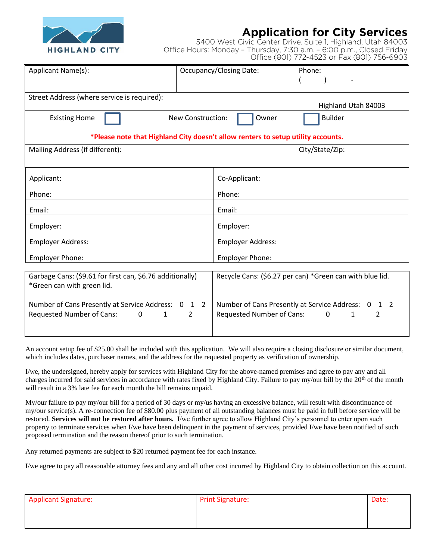

## **Application for City Services**

5400 West Civic Center Drive, Suite 1, Highland, Utah 84003 Office Hours: Monday - Thursday, 7:30 a.m. - 6:00 p.m., Closed Friday Office (801) 772-4523 or Fax (801) 756-6903

| Applicant Name(s):                                                               |                   | <b>Occupancy/Closing Date:</b>                           | Phone:                 |  |  |  |  |
|----------------------------------------------------------------------------------|-------------------|----------------------------------------------------------|------------------------|--|--|--|--|
|                                                                                  |                   |                                                          |                        |  |  |  |  |
|                                                                                  |                   |                                                          |                        |  |  |  |  |
| Street Address (where service is required):                                      |                   |                                                          |                        |  |  |  |  |
| Highland Utah 84003                                                              |                   |                                                          |                        |  |  |  |  |
|                                                                                  |                   |                                                          |                        |  |  |  |  |
| <b>Existing Home</b>                                                             | New Construction: | Owner                                                    | <b>Builder</b>         |  |  |  |  |
| *Please note that Highland City doesn't allow renters to setup utility accounts. |                   |                                                          |                        |  |  |  |  |
| Mailing Address (if different):                                                  |                   | City/State/Zip:                                          |                        |  |  |  |  |
|                                                                                  |                   |                                                          |                        |  |  |  |  |
|                                                                                  |                   |                                                          |                        |  |  |  |  |
|                                                                                  |                   |                                                          |                        |  |  |  |  |
| Applicant:                                                                       |                   | Co-Applicant:                                            |                        |  |  |  |  |
|                                                                                  |                   |                                                          |                        |  |  |  |  |
| Phone:                                                                           |                   | Phone:                                                   |                        |  |  |  |  |
|                                                                                  |                   | Email:                                                   |                        |  |  |  |  |
| Email:                                                                           |                   |                                                          |                        |  |  |  |  |
| Employer:                                                                        |                   | Employer:                                                |                        |  |  |  |  |
|                                                                                  |                   |                                                          |                        |  |  |  |  |
| <b>Employer Address:</b>                                                         |                   | <b>Employer Address:</b>                                 |                        |  |  |  |  |
|                                                                                  |                   |                                                          |                        |  |  |  |  |
| <b>Employer Phone:</b>                                                           |                   | <b>Employer Phone:</b>                                   |                        |  |  |  |  |
|                                                                                  |                   |                                                          |                        |  |  |  |  |
| Garbage Cans: (\$9.61 for first can, \$6.76 additionally)                        |                   | Recycle Cans: (\$6.27 per can) *Green can with blue lid. |                        |  |  |  |  |
|                                                                                  |                   |                                                          |                        |  |  |  |  |
| *Green can with green lid.                                                       |                   |                                                          |                        |  |  |  |  |
|                                                                                  |                   |                                                          |                        |  |  |  |  |
| Number of Cans Presently at Service Address: 0 1 2                               |                   | Number of Cans Presently at Service Address: 0<br>1 2    |                        |  |  |  |  |
| <b>Requested Number of Cans:</b><br>$\mathbf 0$<br>$\mathbf{1}$                  | $\mathcal{L}$     | <b>Requested Number of Cans:</b>                         | $\mathbf{0}$<br>2<br>1 |  |  |  |  |
|                                                                                  |                   |                                                          |                        |  |  |  |  |

An account setup fee of \$25.00 shall be included with this application. We will also require a closing disclosure or similar document, which includes dates, purchaser names, and the address for the requested property as verification of ownership.

I/we, the undersigned, hereby apply for services with Highland City for the above-named premises and agree to pay any and all charges incurred for said services in accordance with rates fixed by Highland City. Failure to pay my/our bill by the 20<sup>th</sup> of the month will result in a 3% late fee for each month the bill remains unpaid.

My/our failure to pay my/our bill for a period of 30 days or my/us having an excessive balance, will result with discontinuance of my/our service(s). A re-connection fee of \$80.00 plus payment of all outstanding balances must be paid in full before service will be restored. **Services will not be restored after hours.** I/we further agree to allow Highland City's personnel to enter upon such property to terminate services when I/we have been delinquent in the payment of services, provided I/we have been notified of such proposed termination and the reason thereof prior to such termination.

Any returned payments are subject to \$20 returned payment fee for each instance.

I/we agree to pay all reasonable attorney fees and any and all other cost incurred by Highland City to obtain collection on this account.

| <b>Applicant Signature:</b> | <b>Print Signature:</b> | Date: |
|-----------------------------|-------------------------|-------|
|                             |                         |       |